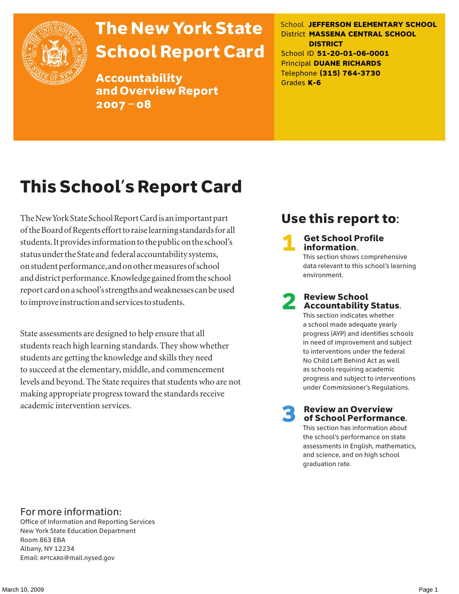

# The New York State School Report Card

Accountability and Overview Report 2007–08

School **JEFFERSON ELEMENTARY SCHOOL** District **MASSENA CENTRAL SCHOOL DISTRICT** School ID **51-20-01-06-0001** Principal **DUANE RICHARDS** Telephone **(315) 764-3730** Grades **K-6**

# This School's Report Card

The New York State School Report Card is an important part of the Board of Regents effort to raise learning standards for all students. It provides information to the public on the school's status under the State and federal accountability systems, on student performance, and on other measures of school and district performance. Knowledge gained from the school report card on a school's strengths and weaknesses can be used to improve instruction and services to students.

State assessments are designed to help ensure that all students reach high learning standards. They show whether students are getting the knowledge and skills they need to succeed at the elementary, middle, and commencement levels and beyond. The State requires that students who are not making appropriate progress toward the standards receive academic intervention services.

## Use this report to:

**Get School Profile** information.

This section shows comprehensive data relevant to this school's learning environment.

# 2 Review School Accountability Status.

This section indicates whether a school made adequate yearly progress (AYP) and identifies schools in need of improvement and subject to interventions under the federal No Child Left Behind Act as well as schools requiring academic progress and subject to interventions under Commissioner's Regulations.

**Review an Overview** of School Performance.

This section has information about the school's performance on state assessments in English, mathematics, and science, and on high school graduation rate.

### For more information:

Office of Information and Reporting Services New York State Education Department Room 863 EBA Albany, NY 12234 Email: RPTCARD@mail.nysed.gov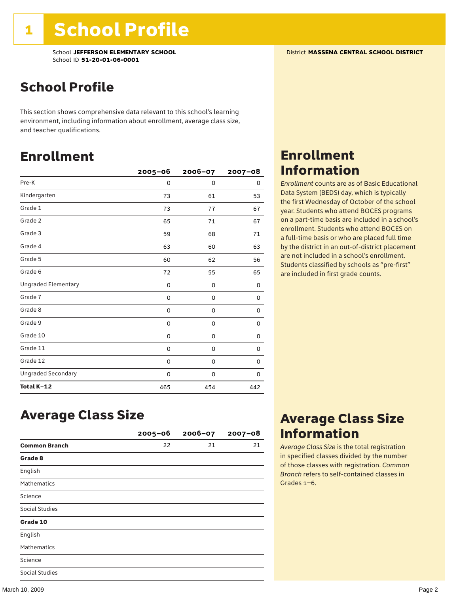School **JEFFERSON ELEMENTARY SCHOOL** District **MASSENA CENTRAL SCHOOL DISTRICT** School ID **51-20-01-06-0001**

### School Profile

This section shows comprehensive data relevant to this school's learning environment, including information about enrollment, average class size, and teacher qualifications.

### Enrollment

|                            | $2005 - 06$ | 2006-07  | $2007 - 08$ |
|----------------------------|-------------|----------|-------------|
| Pre-K                      | 0           | $\Omega$ | 0           |
| Kindergarten               | 73          | 61       | 53          |
| Grade 1                    | 73          | 77       | 67          |
| Grade 2                    | 65          | 71       | 67          |
| Grade 3                    | 59          | 68       | 71          |
| Grade 4                    | 63          | 60       | 63          |
| Grade 5                    | 60          | 62       | 56          |
| Grade 6                    | 72          | 55       | 65          |
| <b>Ungraded Elementary</b> | 0           | 0        | 0           |
| Grade 7                    | 0           | 0        | 0           |
| Grade 8                    | 0           | 0        | 0           |
| Grade 9                    | 0           | 0        | 0           |
| Grade 10                   | 0           | 0        | 0           |
| Grade 11                   | 0           | 0        | 0           |
| Grade 12                   | 0           | 0        | 0           |
| <b>Ungraded Secondary</b>  | 0           | 0        | 0           |
| Total K-12                 | 465         | 454      | 442         |

### Enrollment Information

*Enrollment* counts are as of Basic Educational Data System (BEDS) day, which is typically the first Wednesday of October of the school year. Students who attend BOCES programs on a part-time basis are included in a school's enrollment. Students who attend BOCES on a full-time basis or who are placed full time by the district in an out-of-district placement are not included in a school's enrollment. Students classified by schools as "pre-first" are included in first grade counts.

### Average Class Size

|                       | $2005 - 06$ | $2006 - 07$ | $2007 - 08$ |
|-----------------------|-------------|-------------|-------------|
| <b>Common Branch</b>  | 22          | 21          | 21          |
| Grade 8               |             |             |             |
| English               |             |             |             |
| <b>Mathematics</b>    |             |             |             |
| Science               |             |             |             |
| <b>Social Studies</b> |             |             |             |
| Grade 10              |             |             |             |
| English               |             |             |             |
| <b>Mathematics</b>    |             |             |             |
| Science               |             |             |             |
| <b>Social Studies</b> |             |             |             |

### Average Class Size Information

*Average Class Size* is the total registration in specified classes divided by the number of those classes with registration. *Common Branch* refers to self-contained classes in Grades 1–6.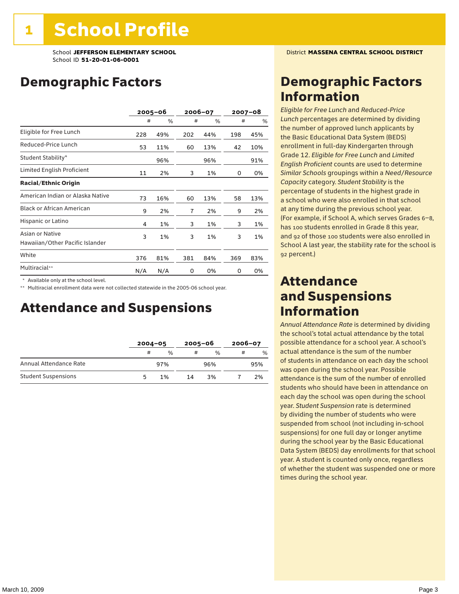School **JEFFERSON ELEMENTARY SCHOOL** District **MASSENA CENTRAL SCHOOL DISTRICT** School ID **51-20-01-06-0001**

### Demographic Factors

|                                                    |     | $2005 - 06$ |     | 2006-07 |     | $2007 - 08$ |
|----------------------------------------------------|-----|-------------|-----|---------|-----|-------------|
|                                                    | #   | %           | #   | %       | #   | %           |
| Eligible for Free Lunch                            | 228 | 49%         | 202 | 44%     | 198 | 45%         |
| Reduced-Price Lunch                                | 53  | 11%         | 60  | 13%     | 42  | 10%         |
| Student Stability*                                 |     | 96%         |     | 96%     |     | 91%         |
| Limited English Proficient                         | 11  | 2%          | 3   | 1%      | 0   | 0%          |
| <b>Racial/Ethnic Origin</b>                        |     |             |     |         |     |             |
| American Indian or Alaska Native                   | 73  | 16%         | 60  | 13%     | 58  | 13%         |
| <b>Black or African American</b>                   | 9   | 2%          | 7   | 2%      | 9   | 2%          |
| Hispanic or Latino                                 | 4   | 1%          | 3   | 1%      | 3   | 1%          |
| Asian or Native<br>Hawaiian/Other Pacific Islander | 3   | 1%          | 3   | 1%      | 3   | 1%          |
| White                                              | 376 | 81%         | 381 | 84%     | 369 | 83%         |
| Multiracial**                                      | N/A | N/A         | 0   | 0%      | 0   | 0%          |

\* Available only at the school level.

\*\* Multiracial enrollment data were not collected statewide in the 2005-06 school year.

### Attendance and Suspensions

|                            |   | $2004 - 05$ |    | $2005 - 06$   |   | $2006 - 07$   |  |
|----------------------------|---|-------------|----|---------------|---|---------------|--|
|                            | # | $\%$        | #  | $\frac{0}{6}$ | # | $\frac{0}{0}$ |  |
| Annual Attendance Rate     |   | 97%         |    | 96%           |   | 95%           |  |
| <b>Student Suspensions</b> |   | 1%          | 14 | 3%            |   | 2%            |  |

### Demographic Factors Information

*Eligible for Free Lunch* and *Reduced*-*Price Lunch* percentages are determined by dividing the number of approved lunch applicants by the Basic Educational Data System (BEDS) enrollment in full-day Kindergarten through Grade 12. *Eligible for Free Lunch* and *Limited English Proficient* counts are used to determine *Similar Schools* groupings within a *Need*/*Resource Capacity* category. *Student Stability* is the percentage of students in the highest grade in a school who were also enrolled in that school at any time during the previous school year. (For example, if School A, which serves Grades 6–8, has 100 students enrolled in Grade 8 this year, and 92 of those 100 students were also enrolled in School A last year, the stability rate for the school is 92 percent.)

### Attendance and Suspensions Information

*Annual Attendance Rate* is determined by dividing the school's total actual attendance by the total possible attendance for a school year. A school's actual attendance is the sum of the number of students in attendance on each day the school was open during the school year. Possible attendance is the sum of the number of enrolled students who should have been in attendance on each day the school was open during the school year. *Student Suspension* rate is determined by dividing the number of students who were suspended from school (not including in-school suspensions) for one full day or longer anytime during the school year by the Basic Educational Data System (BEDS) day enrollments for that school year. A student is counted only once, regardless of whether the student was suspended one or more times during the school year.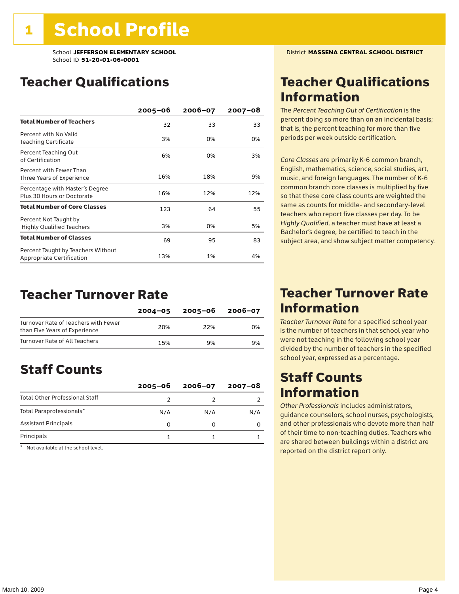### Teacher Qualifications

|                                                                        | $2005 - 06$ | $2006 - 07$ | $2007 - 08$ |
|------------------------------------------------------------------------|-------------|-------------|-------------|
| <b>Total Number of Teachers</b>                                        | 32          | 33          | 33          |
| Percent with No Valid<br>Teaching Certificate                          | 3%          | 0%          | 0%          |
| Percent Teaching Out<br>of Certification                               | 6%          | 0%          | 3%          |
| Percent with Fewer Than<br>Three Years of Experience                   | 16%         | 18%         | 9%          |
| Percentage with Master's Degree<br>Plus 30 Hours or Doctorate          | 16%         | 12%         | 12%         |
| <b>Total Number of Core Classes</b>                                    | 123         | 64          | 55          |
| Percent Not Taught by<br><b>Highly Qualified Teachers</b>              | 3%          | 0%          | 5%          |
| <b>Total Number of Classes</b>                                         | 69          | 95          | 83          |
| Percent Taught by Teachers Without<br><b>Appropriate Certification</b> | 13%         | 1%          | 4%          |

### Teacher Turnover Rate

|                                                                       | $2004 - 05$ | 2005-06 | $2006 - 07$ |
|-----------------------------------------------------------------------|-------------|---------|-------------|
| Turnover Rate of Teachers with Fewer<br>than Five Years of Experience | 20%         | 22%     | በ%          |
| Turnover Rate of All Teachers                                         | 15%         | 9%      | 9%          |

## Staff Counts

|                                       | $2005 - 06$ | $2006 - 07$ | 2007-08 |
|---------------------------------------|-------------|-------------|---------|
| <b>Total Other Professional Staff</b> |             |             |         |
| Total Paraprofessionals*              | N/A         | N/A         | N/A     |
| <b>Assistant Principals</b>           |             |             |         |
| Principals                            |             |             |         |

\* Not available at the school level.

### Teacher Qualifications Information

The *Percent Teaching Out of Certification* is the percent doing so more than on an incidental basis; that is, the percent teaching for more than five periods per week outside certification.

*Core Classes* are primarily K-6 common branch, English, mathematics, science, social studies, art, music, and foreign languages. The number of K-6 common branch core classes is multiplied by five so that these core class counts are weighted the same as counts for middle- and secondary-level teachers who report five classes per day. To be *Highly Qualified*, a teacher must have at least a Bachelor's degree, be certified to teach in the subject area, and show subject matter competency.

### Teacher Turnover Rate Information

*Teacher Turnover Rate* for a specified school year is the number of teachers in that school year who were not teaching in the following school year divided by the number of teachers in the specified school year, expressed as a percentage.

### Staff Counts Information

*Other Professionals* includes administrators, guidance counselors, school nurses, psychologists, and other professionals who devote more than half of their time to non-teaching duties. Teachers who are shared between buildings within a district are reported on the district report only.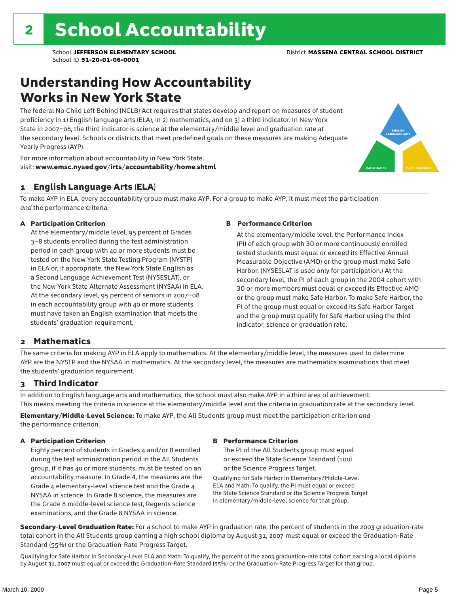### Understanding How Accountability Works in New York State

The federal No Child Left Behind (NCLB) Act requires that states develop and report on measures of student proficiency in 1) English language arts (ELA), in 2) mathematics, and on 3) a third indicator. In New York State in 2007–08, the third indicator is science at the elementary/middle level and graduation rate at the secondary level. Schools or districts that meet predefined goals on these measures are making Adequate Yearly Progress (AYP).



For more information about accountability in New York State, visit: www.emsc.nysed.gov/irts/accountability/home.shtml

### 1 English Language Arts (ELA)

To make AYP in ELA, every accountability group must make AYP. For a group to make AYP, it must meet the participation *and* the performance criteria.

#### A Participation Criterion

At the elementary/middle level, 95 percent of Grades 3–8 students enrolled during the test administration period in each group with 40 or more students must be tested on the New York State Testing Program (NYSTP) in ELA or, if appropriate, the New York State English as a Second Language Achievement Test (NYSESLAT), or the New York State Alternate Assessment (NYSAA) in ELA. At the secondary level, 95 percent of seniors in 2007–08 in each accountability group with 40 or more students must have taken an English examination that meets the students' graduation requirement.

#### B Performance Criterion

At the elementary/middle level, the Performance Index (PI) of each group with 30 or more continuously enrolled tested students must equal or exceed its Effective Annual Measurable Objective (AMO) or the group must make Safe Harbor. (NYSESLAT is used only for participation.) At the secondary level, the PI of each group in the 2004 cohort with 30 or more members must equal or exceed its Effective AMO or the group must make Safe Harbor. To make Safe Harbor, the PI of the group must equal or exceed its Safe Harbor Target and the group must qualify for Safe Harbor using the third indicator, science or graduation rate.

### 2 Mathematics

The same criteria for making AYP in ELA apply to mathematics. At the elementary/middle level, the measures used to determine AYP are the NYSTP and the NYSAA in mathematics. At the secondary level, the measures are mathematics examinations that meet the students' graduation requirement.

### 3 Third Indicator

In addition to English language arts and mathematics, the school must also make AYP in a third area of achievement. This means meeting the criteria in science at the elementary/middle level and the criteria in graduation rate at the secondary level.

Elementary/Middle-Level Science: To make AYP, the All Students group must meet the participation criterion *and* the performance criterion.

#### A Participation Criterion

Eighty percent of students in Grades 4 and/or 8 enrolled during the test administration period in the All Students group, if it has 40 or more students, must be tested on an accountability measure. In Grade 4, the measures are the Grade 4 elementary-level science test and the Grade 4 NYSAA in science. In Grade 8 science, the measures are the Grade 8 middle-level science test, Regents science examinations, and the Grade 8 NYSAA in science.

#### B Performance Criterion

The PI of the All Students group must equal or exceed the State Science Standard (100) or the Science Progress Target.

Qualifying for Safe Harbor in Elementary/Middle-Level ELA and Math: To qualify, the PI must equal or exceed the State Science Standard or the Science Progress Target in elementary/middle-level science for that group.

Secondary-Level Graduation Rate: For a school to make AYP in graduation rate, the percent of students in the 2003 graduation-rate total cohort in the All Students group earning a high school diploma by August 31, 2007 must equal or exceed the Graduation-Rate Standard (55%) or the Graduation-Rate Progress Target.

Qualifying for Safe Harbor in Secondary-Level ELA and Math: To qualify, the percent of the 2003 graduation-rate total cohort earning a local diploma by August 31, 2007 must equal or exceed the Graduation-Rate Standard (55%) or the Graduation-Rate Progress Target for that group.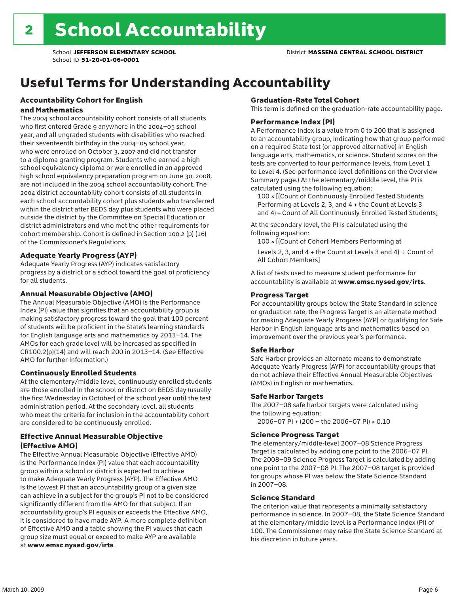# Useful Terms for Understanding Accountability

#### Accountability Cohort for English and Mathematics

The 2004 school accountability cohort consists of all students who first entered Grade 9 anywhere in the 2004–05 school year, and all ungraded students with disabilities who reached their seventeenth birthday in the 2004–05 school year, who were enrolled on October 3, 2007 and did not transfer to a diploma granting program. Students who earned a high school equivalency diploma or were enrolled in an approved high school equivalency preparation program on June 30, 2008, are not included in the 2004 school accountability cohort. The 2004 district accountability cohort consists of all students in each school accountability cohort plus students who transferred within the district after BEDS day plus students who were placed outside the district by the Committee on Special Education or district administrators and who met the other requirements for cohort membership. Cohort is defined in Section 100.2 (p) (16) of the Commissioner's Regulations.

#### Adequate Yearly Progress (AYP)

Adequate Yearly Progress (AYP) indicates satisfactory progress by a district or a school toward the goal of proficiency for all students.

#### Annual Measurable Objective (AMO)

The Annual Measurable Objective (AMO) is the Performance Index (PI) value that signifies that an accountability group is making satisfactory progress toward the goal that 100 percent of students will be proficient in the State's learning standards for English language arts and mathematics by 2013–14. The AMOs for each grade level will be increased as specified in CR100.2(p)(14) and will reach 200 in 2013–14. (See Effective AMO for further information.)

### Continuously Enrolled Students

At the elementary/middle level, continuously enrolled students are those enrolled in the school or district on BEDS day (usually the first Wednesday in October) of the school year until the test administration period. At the secondary level, all students who meet the criteria for inclusion in the accountability cohort are considered to be continuously enrolled.

### Effective Annual Measurable Objective (Effective AMO)

The Effective Annual Measurable Objective (Effective AMO) is the Performance Index (PI) value that each accountability group within a school or district is expected to achieve to make Adequate Yearly Progress (AYP). The Effective AMO is the lowest PI that an accountability group of a given size can achieve in a subject for the group's PI not to be considered significantly different from the AMO for that subject. If an accountability group's PI equals or exceeds the Effective AMO, it is considered to have made AYP. A more complete definition of Effective AMO and a table showing the PI values that each group size must equal or exceed to make AYP are available at www.emsc.nysed.gov/irts.

#### Graduation-Rate Total Cohort

This term is defined on the graduation-rate accountability page.

#### Performance Index (PI)

A Performance Index is a value from 0 to 200 that is assigned to an accountability group, indicating how that group performed on a required State test (or approved alternative) in English language arts, mathematics, or science. Student scores on the tests are converted to four performance levels, from Level 1 to Level 4. (See performance level definitions on the Overview Summary page.) At the elementary/middle level, the PI is calculated using the following equation:

100 × [(Count of Continuously Enrolled Tested Students Performing at Levels 2, 3, and 4 + the Count at Levels 3 and 4) ÷ Count of All Continuously Enrolled Tested Students]

At the secondary level, the PI is calculated using the following equation:

100 × [(Count of Cohort Members Performing at

Levels 2, 3, and 4 + the Count at Levels 3 and 4)  $\div$  Count of All Cohort Members]

A list of tests used to measure student performance for accountability is available at www.emsc.nysed.gov/irts.

#### Progress Target

For accountability groups below the State Standard in science or graduation rate, the Progress Target is an alternate method for making Adequate Yearly Progress (AYP) or qualifying for Safe Harbor in English language arts and mathematics based on improvement over the previous year's performance.

#### Safe Harbor

Safe Harbor provides an alternate means to demonstrate Adequate Yearly Progress (AYP) for accountability groups that do not achieve their Effective Annual Measurable Objectives (AMOs) in English or mathematics.

#### Safe Harbor Targets

The 2007–08 safe harbor targets were calculated using the following equation:

2006–07 PI + (200 – the 2006–07 PI) × 0.10

#### Science Progress Target

The elementary/middle-level 2007–08 Science Progress Target is calculated by adding one point to the 2006–07 PI. The 2008–09 Science Progress Target is calculated by adding one point to the 2007–08 PI. The 2007–08 target is provided for groups whose PI was below the State Science Standard in 2007–08.

#### Science Standard

The criterion value that represents a minimally satisfactory performance in science. In 2007–08, the State Science Standard at the elementary/middle level is a Performance Index (PI) of 100. The Commissioner may raise the State Science Standard at his discretion in future years.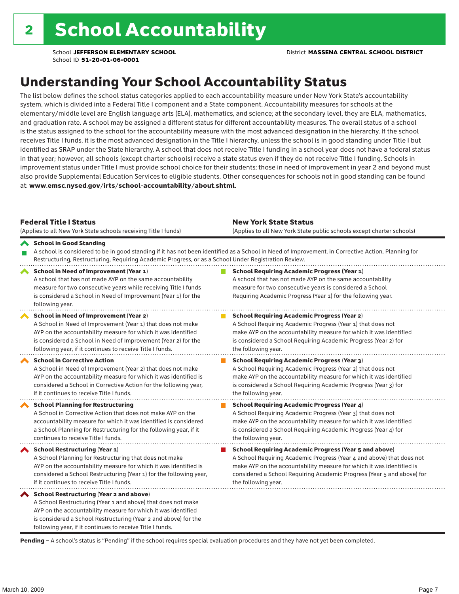## Understanding Your School Accountability Status

The list below defines the school status categories applied to each accountability measure under New York State's accountability system, which is divided into a Federal Title I component and a State component. Accountability measures for schools at the elementary/middle level are English language arts (ELA), mathematics, and science; at the secondary level, they are ELA, mathematics, and graduation rate. A school may be assigned a different status for different accountability measures. The overall status of a school is the status assigned to the school for the accountability measure with the most advanced designation in the hierarchy. If the school receives Title I funds, it is the most advanced designation in the Title I hierarchy, unless the school is in good standing under Title I but identified as SRAP under the State hierarchy. A school that does not receive Title I funding in a school year does not have a federal status in that year; however, all schools (except charter schools) receive a state status even if they do not receive Title I funding. Schools in improvement status under Title I must provide school choice for their students; those in need of improvement in year 2 and beyond must also provide Supplemental Education Services to eligible students. Other consequences for schools not in good standing can be found at: www.emsc.nysed.gov/irts/school-accountability/about.shtml.

| <b>Federal Title I Status</b><br>(Applies to all New York State schools receiving Title I funds)                                                                                                                                                                                                                | <b>New York State Status</b><br>(Applies to all New York State public schools except charter schools) |                                                                                                                                                                                                                                                                                                                 |  |  |  |
|-----------------------------------------------------------------------------------------------------------------------------------------------------------------------------------------------------------------------------------------------------------------------------------------------------------------|-------------------------------------------------------------------------------------------------------|-----------------------------------------------------------------------------------------------------------------------------------------------------------------------------------------------------------------------------------------------------------------------------------------------------------------|--|--|--|
| School in Good Standing<br>Restructuring, Restructuring, Requiring Academic Progress, or as a School Under Registration Review.                                                                                                                                                                                 |                                                                                                       | A school is considered to be in good standing if it has not been identified as a School in Need of Improvement, in Corrective Action, Planning for                                                                                                                                                              |  |  |  |
| School in Need of Improvement (Year 1)<br>A school that has not made AYP on the same accountability<br>measure for two consecutive years while receiving Title I funds<br>is considered a School in Need of Improvement (Year 1) for the<br>following year.                                                     |                                                                                                       | <b>School Requiring Academic Progress (Year 1)</b><br>A school that has not made AYP on the same accountability<br>measure for two consecutive years is considered a School<br>Requiring Academic Progress (Year 1) for the following year.                                                                     |  |  |  |
| School in Need of Improvement (Year 2)<br>A School in Need of Improvement (Year 1) that does not make<br>AYP on the accountability measure for which it was identified<br>is considered a School in Need of Improvement (Year 2) for the<br>following year, if it continues to receive Title I funds.           |                                                                                                       | <b>School Requiring Academic Progress (Year 2)</b><br>A School Requiring Academic Progress (Year 1) that does not<br>make AYP on the accountability measure for which it was identified<br>is considered a School Requiring Academic Progress (Year 2) for<br>the following year.                               |  |  |  |
| <b>School in Corrective Action</b><br>A School in Need of Improvement (Year 2) that does not make<br>AYP on the accountability measure for which it was identified is<br>considered a School in Corrective Action for the following year,<br>if it continues to receive Title I funds.                          |                                                                                                       | <b>School Requiring Academic Progress (Year 3)</b><br>A School Requiring Academic Progress (Year 2) that does not<br>make AYP on the accountability measure for which it was identified<br>is considered a School Requiring Academic Progress (Year 3) for<br>the following year.                               |  |  |  |
| <b>School Planning for Restructuring</b><br>A School in Corrective Action that does not make AYP on the<br>accountability measure for which it was identified is considered<br>a School Planning for Restructuring for the following year, if it<br>continues to receive Title I funds.                         |                                                                                                       | <b>School Requiring Academic Progress (Year 4)</b><br>A School Requiring Academic Progress (Year 3) that does not<br>make AYP on the accountability measure for which it was identified<br>is considered a School Requiring Academic Progress (Year 4) for<br>the following year.                               |  |  |  |
| <b>School Restructuring (Year 1)</b><br>A School Planning for Restructuring that does not make<br>AYP on the accountability measure for which it was identified is<br>considered a School Restructuring (Year 1) for the following year,<br>if it continues to receive Title I funds.                           |                                                                                                       | <b>School Requiring Academic Progress (Year 5 and above)</b><br>A School Requiring Academic Progress (Year 4 and above) that does not<br>make AYP on the accountability measure for which it was identified is<br>considered a School Requiring Academic Progress (Year 5 and above) for<br>the following year. |  |  |  |
| <b>School Restructuring (Year 2 and above)</b><br>A School Restructuring (Year 1 and above) that does not make<br>AYP on the accountability measure for which it was identified<br>is considered a School Restructuring (Year 2 and above) for the<br>following year, if it continues to receive Title I funds. |                                                                                                       |                                                                                                                                                                                                                                                                                                                 |  |  |  |

Pending - A school's status is "Pending" if the school requires special evaluation procedures and they have not yet been completed.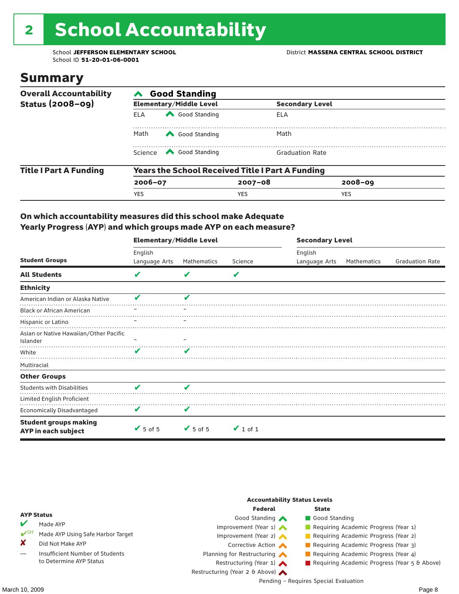# 2 School Accountability

School ID **51-20-01-06-0001**

### Summary

| <b>Overall Accountability</b> | <b>Good Standing</b>                                    |                                |                        |             |  |  |  |
|-------------------------------|---------------------------------------------------------|--------------------------------|------------------------|-------------|--|--|--|
| <b>Status (2008-09)</b>       |                                                         | <b>Elementary/Middle Level</b> | <b>Secondary Level</b> |             |  |  |  |
|                               | <b>ELA</b>                                              | Good Standing                  | ELA                    |             |  |  |  |
|                               | Math                                                    | Good Standing                  | Math                   |             |  |  |  |
|                               |                                                         | Science <a> Good Standing</a>  | <b>Graduation Rate</b> |             |  |  |  |
| <b>Title I Part A Funding</b> | <b>Years the School Received Title I Part A Funding</b> |                                |                        |             |  |  |  |
|                               | $2006 - 07$                                             |                                | $2007 - 08$            | $2008 - 09$ |  |  |  |
|                               | <b>YES</b>                                              |                                | <b>YES</b>             | <b>YES</b>  |  |  |  |

### On which accountability measures did this school make Adequate Yearly Progress (AYP) and which groups made AYP on each measure?

|                                                     | <b>Elementary/Middle Level</b> |                 |               | <b>Secondary Level</b> |             |                        |  |
|-----------------------------------------------------|--------------------------------|-----------------|---------------|------------------------|-------------|------------------------|--|
|                                                     | English                        |                 |               | English                |             |                        |  |
| <b>Student Groups</b>                               | Language Arts                  | Mathematics     | Science       | Language Arts          | Mathematics | <b>Graduation Rate</b> |  |
| <b>All Students</b>                                 | V                              |                 | V             |                        |             |                        |  |
| <b>Ethnicity</b>                                    |                                |                 |               |                        |             |                        |  |
| American Indian or Alaska Native                    | v                              | v               |               |                        |             |                        |  |
| <b>Black or African American</b>                    |                                |                 |               |                        |             |                        |  |
| Hispanic or Latino                                  |                                |                 |               |                        |             |                        |  |
| Asian or Native Hawaiian/Other Pacific<br>Islander  |                                |                 |               |                        |             |                        |  |
| White                                               | ✔                              | v               |               |                        |             |                        |  |
| Multiracial                                         |                                |                 |               |                        |             |                        |  |
| <b>Other Groups</b>                                 |                                |                 |               |                        |             |                        |  |
| <b>Students with Disabilities</b>                   | V                              | V               |               |                        |             |                        |  |
| Limited English Proficient                          |                                |                 |               |                        |             |                        |  |
| <b>Economically Disadvantaged</b>                   | V                              | V               |               |                        |             |                        |  |
| <b>Student groups making</b><br>AYP in each subject | $\sqrt{5}$ of 5                | $\sqrt{5}$ of 5 | $\vee$ 1 of 1 |                        |             |                        |  |

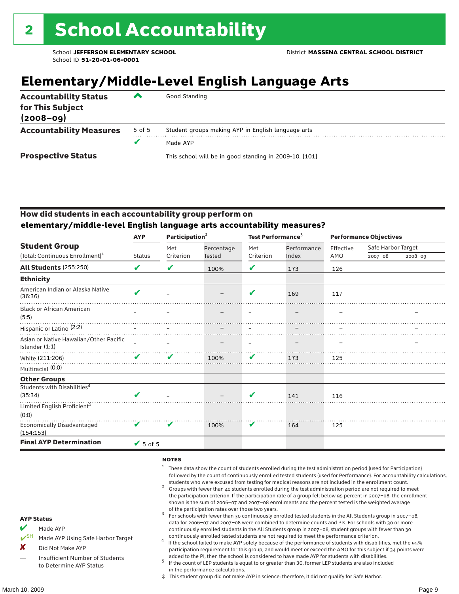# **Elementary/Middle-Level English Language Arts**

| <b>Accountability Status</b><br>for This Subject<br>$(2008 - 09)$ | ▰      | Good Standing                                          |
|-------------------------------------------------------------------|--------|--------------------------------------------------------|
| <b>Accountability Measures</b>                                    | 5 of 5 | Student groups making AYP in English language arts     |
|                                                                   |        | Made AYP                                               |
| <b>Prospective Status</b>                                         |        | This school will be in good standing in 2009-10. [101] |

### How did students in each accountability group perform on **elementary/middle-level English language arts accountability measures?**

|                                                          | <b>AYP</b>      | Participation <sup>2</sup> |               | Test Performance <sup>3</sup> |             | <b>Performance Objectives</b> |                    |         |
|----------------------------------------------------------|-----------------|----------------------------|---------------|-------------------------------|-------------|-------------------------------|--------------------|---------|
| <b>Student Group</b>                                     |                 | Met                        | Percentage    | Met                           | Performance | Effective                     | Safe Harbor Target |         |
| (Total: Continuous Enrollment) <sup>1</sup>              | <b>Status</b>   | Criterion                  | <b>Tested</b> | Criterion                     | Index       | AMO                           | $2007 - 08$        | 2008-09 |
| <b>All Students (255:250)</b>                            | V               | V                          | 100%          | V                             | 173         | 126                           |                    |         |
| <b>Ethnicity</b>                                         |                 |                            |               |                               |             |                               |                    |         |
| American Indian or Alaska Native<br>(36:36)              | V               |                            |               | ✔                             | 169         | 117                           |                    |         |
| <b>Black or African American</b><br>(5:5)                |                 |                            |               |                               |             |                               |                    |         |
| Hispanic or Latino <sup>(2:2)</sup>                      |                 |                            |               |                               |             |                               |                    |         |
| Asian or Native Hawaiian/Other Pacific<br>Islander (1:1) |                 |                            |               |                               |             |                               |                    |         |
| White (211:206)                                          | V               | V                          | 100%          | V                             | 173         | 125                           |                    |         |
| Multiracial (0:0)                                        |                 |                            |               |                               |             |                               |                    |         |
| <b>Other Groups</b>                                      |                 |                            |               |                               |             |                               |                    |         |
| Students with Disabilities <sup>4</sup>                  |                 |                            |               |                               |             |                               |                    |         |
| (35:34)                                                  | $\mathbf{v}$    |                            |               | V                             | 141         | 116                           |                    |         |
| Limited English Proficient <sup>5</sup>                  |                 |                            |               |                               |             |                               |                    |         |
| (0:0)                                                    |                 |                            |               |                               |             |                               |                    |         |
| Economically Disadvantaged<br>(154:153)                  | V               | v                          | 100%          | V                             | 164         | 125                           |                    |         |
| <b>Final AYP Determination</b>                           | $\sqrt{5}$ of 5 |                            |               |                               |             |                               |                    |         |

#### **NOTES**

- <sup>1</sup> These data show the count of students enrolled during the test administration period (used for Participation) followed by the count of continuously enrolled tested students (used for Performance). For accountability calculations,
- students who were excused from testing for medical reasons are not included in the enrollment count. <sup>2</sup> Groups with fewer than 40 students enrolled during the test administration period are not required to meet the participation criterion. If the participation rate of a group fell below 95 percent in 2007–08, the enrollment shown is the sum of 2006–07 and 2007–08 enrollments and the percent tested is the weighted average
- of the participation rates over those two years.<br><sup>3</sup> For schools with fewer than 30 continuously enrolled tested students in the All Students group in 2007–08, data for 2006–07 and 2007–08 were combined to determine counts and PIs. For schools with 30 or more continuously enrolled students in the All Students group in 2007–08, student groups with fewer than 30
- continuously enrolled tested students are not required to meet the performance criterion. <sup>4</sup> If the school failed to make AYP solely because of the performance of students with disabilities, met the 95% participation requirement for this group, and would meet or exceed the AMO for this subject if 34 points were added to the PI, then the school is considered to have made AYP for students with disabilities.
- $5$  If the count of LEP students is equal to or greater than 30, former LEP students are also included in the performance calculations.
- ‡ This student group did not make AYP in science; therefore, it did not qualify for Safe Harbor.
- Made AYP Using Safe Harbor Target
- X Did Not Make AYP
- Insufficient Number of Students to Determine AYP Status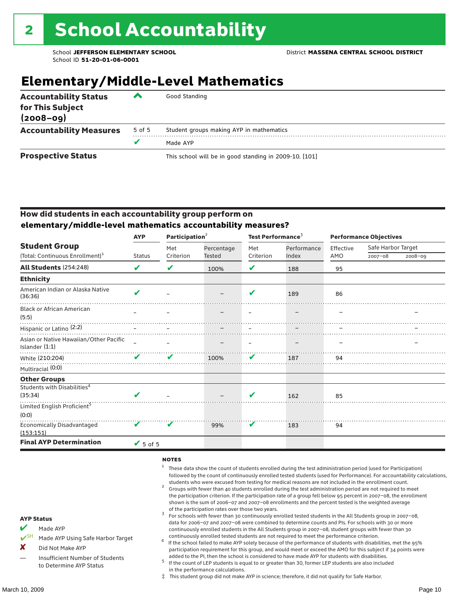# **Elementary/Middle-Level Mathematics**

| <b>Accountability Status</b><br>for This Subject<br>$(2008 - 09)$ | ▰      | Good Standing                                          |
|-------------------------------------------------------------------|--------|--------------------------------------------------------|
| <b>Accountability Measures</b>                                    | 5 of 5 | Student groups making AYP in mathematics               |
|                                                                   | v      | Made AYP                                               |
| <b>Prospective Status</b>                                         |        | This school will be in good standing in 2009-10. [101] |

### How did students in each accountability group perform on **elementary/middle-level mathematics accountability measures?**

|                                                            | <b>AYP</b>    | Participation <sup>2</sup> |               | Test Performance <sup>3</sup> |             | <b>Performance Objectives</b> |                    |         |
|------------------------------------------------------------|---------------|----------------------------|---------------|-------------------------------|-------------|-------------------------------|--------------------|---------|
| <b>Student Group</b>                                       |               | Met                        | Percentage    | Met                           | Performance | Effective                     | Safe Harbor Target |         |
| (Total: Continuous Enrollment) <sup>1</sup>                | <b>Status</b> | Criterion                  | <b>Tested</b> | Criterion                     | Index       | AMO                           | $2007 - 08$        | 2008-09 |
| All Students (254:248)                                     | V             | V                          | 100%          | V                             | 188         | 95                            |                    |         |
| <b>Ethnicity</b>                                           |               |                            |               |                               |             |                               |                    |         |
| American Indian or Alaska Native<br>(36:36)                | V             |                            |               | $\boldsymbol{\mathcal{L}}$    | 189         | 86                            |                    |         |
| <b>Black or African American</b><br>(5:5)                  |               |                            |               |                               |             |                               |                    |         |
| Hispanic or Latino <sup>(2:2)</sup>                        |               |                            |               |                               |             |                               |                    |         |
| Asian or Native Hawaiian/Other Pacific<br>Islander $(1:1)$ |               |                            |               |                               |             |                               |                    |         |
| White (210:204)                                            | ✔             | ✔                          | 100%          | V                             | 187         | 94                            |                    |         |
| Multiracial (0:0)                                          |               |                            |               |                               |             |                               |                    |         |
| <b>Other Groups</b>                                        |               |                            |               |                               |             |                               |                    |         |
| Students with Disabilities <sup>4</sup><br>(35:34)         | $\mathbf{v}$  |                            |               | V                             | 162         | 85                            |                    |         |
| Limited English Proficient <sup>5</sup><br>(0:0)           |               |                            |               |                               |             |                               |                    |         |
| <b>Economically Disadvantaged</b><br>(153:151)             | V             | V                          | 99%           | V                             | 183         | 94                            |                    |         |
| <b>Final AYP Determination</b>                             | $V$ 5 of 5    |                            |               |                               |             |                               |                    |         |

#### **NOTES**

- <sup>1</sup> These data show the count of students enrolled during the test administration period (used for Participation) followed by the count of continuously enrolled tested students (used for Performance). For accountability calculations,
- students who were excused from testing for medical reasons are not included in the enrollment count.<br><sup>2</sup> Groups with fewer than 40 students enrolled during the test administration period are not required to meet the participation criterion. If the participation rate of a group fell below 95 percent in 2007–08, the enrollment shown is the sum of 2006–07 and 2007–08 enrollments and the percent tested is the weighted average
- of the participation rates over those two years.<br><sup>3</sup> For schools with fewer than 30 continuously enrolled tested students in the All Students group in 2007–08, data for 2006–07 and 2007–08 were combined to determine counts and PIs. For schools with 30 or more continuously enrolled students in the All Students group in 2007–08, student groups with fewer than 30
- continuously enrolled tested students are not required to meet the performance criterion. <sup>4</sup> If the school failed to make AYP solely because of the performance of students with disabilities, met the 95% participation requirement for this group, and would meet or exceed the AMO for this subject if 34 points were added to the PI, then the school is considered to have made AYP for students with disabilities.
- $5$  If the count of LEP students is equal to or greater than 30, former LEP students are also included in the performance calculations.
- ‡ This student group did not make AYP in science; therefore, it did not qualify for Safe Harbor.
- Made AYP
	- Made AYP Using Safe Harbor Target
- X Did Not Make AYP
- Insufficient Number of Students to Determine AYP Status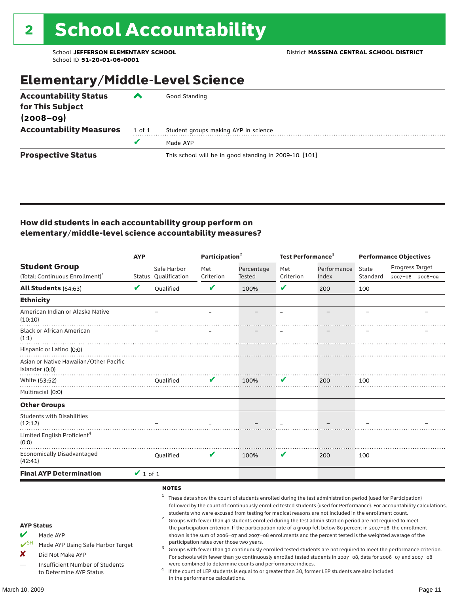## Elementary/Middle-Level Science

| <b>Accountability Status</b>   | ▰      | Good Standing                                          |
|--------------------------------|--------|--------------------------------------------------------|
| for This Subject               |        |                                                        |
| $(2008 - 09)$                  |        |                                                        |
| <b>Accountability Measures</b> | 1 of 1 | Student groups making AYP in science                   |
|                                |        | Made AYP                                               |
| <b>Prospective Status</b>      |        | This school will be in good standing in 2009-10. [101] |

### How did students in each accountability group perform on elementary/middle-level science accountability measures?

|                                                                                                                                                                                          | <b>AYP</b>    |                                                   | Participation <sup>2</sup>                                                    |                                                            |           | Test Performance $3$                                                                                                                                                                                                                                                                                                                                                                                                                                                                                                                                                                                                                                                                                                                                                                                                                                                                                                                                                                                                                            |          | <b>Performance Objectives</b> |                 |  |
|------------------------------------------------------------------------------------------------------------------------------------------------------------------------------------------|---------------|---------------------------------------------------|-------------------------------------------------------------------------------|------------------------------------------------------------|-----------|-------------------------------------------------------------------------------------------------------------------------------------------------------------------------------------------------------------------------------------------------------------------------------------------------------------------------------------------------------------------------------------------------------------------------------------------------------------------------------------------------------------------------------------------------------------------------------------------------------------------------------------------------------------------------------------------------------------------------------------------------------------------------------------------------------------------------------------------------------------------------------------------------------------------------------------------------------------------------------------------------------------------------------------------------|----------|-------------------------------|-----------------|--|
| <b>Student Group</b>                                                                                                                                                                     |               | Safe Harbor                                       | Met                                                                           | Percentage                                                 | Met       | Performance                                                                                                                                                                                                                                                                                                                                                                                                                                                                                                                                                                                                                                                                                                                                                                                                                                                                                                                                                                                                                                     | State    | Progress Target               |                 |  |
| (Total: Continuous Enrollment) <sup>1</sup>                                                                                                                                              |               | <b>Status Oualification</b>                       | Criterion                                                                     | <b>Tested</b>                                              | Criterion | Index                                                                                                                                                                                                                                                                                                                                                                                                                                                                                                                                                                                                                                                                                                                                                                                                                                                                                                                                                                                                                                           | Standard |                               | 2007-08 2008-09 |  |
| All Students (64:63)                                                                                                                                                                     | V             | Qualified                                         | $\mathbf v$                                                                   | 100%                                                       | V         | 200                                                                                                                                                                                                                                                                                                                                                                                                                                                                                                                                                                                                                                                                                                                                                                                                                                                                                                                                                                                                                                             | 100      |                               |                 |  |
| <b>Ethnicity</b>                                                                                                                                                                         |               |                                                   |                                                                               |                                                            |           |                                                                                                                                                                                                                                                                                                                                                                                                                                                                                                                                                                                                                                                                                                                                                                                                                                                                                                                                                                                                                                                 |          |                               |                 |  |
| American Indian or Alaska Native<br>(10:10)                                                                                                                                              |               |                                                   |                                                                               |                                                            |           |                                                                                                                                                                                                                                                                                                                                                                                                                                                                                                                                                                                                                                                                                                                                                                                                                                                                                                                                                                                                                                                 |          |                               |                 |  |
| <b>Black or African American</b><br>(1:1)                                                                                                                                                |               |                                                   |                                                                               |                                                            |           |                                                                                                                                                                                                                                                                                                                                                                                                                                                                                                                                                                                                                                                                                                                                                                                                                                                                                                                                                                                                                                                 |          |                               |                 |  |
| Hispanic or Latino (0:0)<br>Asian or Native Hawaiian/Other Pacific<br>Islander (0:0)                                                                                                     |               |                                                   |                                                                               |                                                            |           |                                                                                                                                                                                                                                                                                                                                                                                                                                                                                                                                                                                                                                                                                                                                                                                                                                                                                                                                                                                                                                                 |          |                               |                 |  |
| White (53:52)                                                                                                                                                                            |               | <b>Oualified</b>                                  |                                                                               | 100%                                                       | V         | 200                                                                                                                                                                                                                                                                                                                                                                                                                                                                                                                                                                                                                                                                                                                                                                                                                                                                                                                                                                                                                                             | 100      |                               |                 |  |
| Multiracial (0:0)                                                                                                                                                                        |               |                                                   |                                                                               |                                                            |           |                                                                                                                                                                                                                                                                                                                                                                                                                                                                                                                                                                                                                                                                                                                                                                                                                                                                                                                                                                                                                                                 |          |                               |                 |  |
| <b>Other Groups</b>                                                                                                                                                                      |               |                                                   |                                                                               |                                                            |           |                                                                                                                                                                                                                                                                                                                                                                                                                                                                                                                                                                                                                                                                                                                                                                                                                                                                                                                                                                                                                                                 |          |                               |                 |  |
| <b>Students with Disabilities</b><br>(12:12)                                                                                                                                             |               |                                                   |                                                                               |                                                            |           |                                                                                                                                                                                                                                                                                                                                                                                                                                                                                                                                                                                                                                                                                                                                                                                                                                                                                                                                                                                                                                                 |          |                               |                 |  |
| Limited English Proficient <sup>4</sup><br>(0:0)                                                                                                                                         |               |                                                   |                                                                               |                                                            |           |                                                                                                                                                                                                                                                                                                                                                                                                                                                                                                                                                                                                                                                                                                                                                                                                                                                                                                                                                                                                                                                 |          |                               |                 |  |
| <b>Economically Disadvantaged</b><br>(42:41)                                                                                                                                             |               | <b>Oualified</b>                                  | V                                                                             | 100%                                                       | V         | 200                                                                                                                                                                                                                                                                                                                                                                                                                                                                                                                                                                                                                                                                                                                                                                                                                                                                                                                                                                                                                                             | 100      |                               |                 |  |
| <b>Final AYP Determination</b>                                                                                                                                                           | $\vee$ 1 of 1 |                                                   |                                                                               |                                                            |           |                                                                                                                                                                                                                                                                                                                                                                                                                                                                                                                                                                                                                                                                                                                                                                                                                                                                                                                                                                                                                                                 |          |                               |                 |  |
| <b>AYP Status</b><br>V<br>Made AYP<br>$V^{\text{SH}}$<br>Made AYP Using Safe Harbor Target<br>X<br>Did Not Make AYP<br><b>Insufficient Number of Students</b><br>to Determine AYP Status |               | <b>NOTES</b><br>1<br>$\overline{\mathbf{c}}$<br>3 | participation rates over those two years.<br>in the performance calculations. | were combined to determine counts and performance indices. |           | These data show the count of students enrolled during the test administration period (used for Participation)<br>followed by the count of continuously enrolled tested students (used for Performance). For accountability calculations,<br>students who were excused from testing for medical reasons are not included in the enrollment count.<br>Groups with fewer than 40 students enrolled during the test administration period are not required to meet<br>the participation criterion. If the participation rate of a group fell below 80 percent in 2007-08, the enrollment<br>shown is the sum of 2006-07 and 2007-08 enrollments and the percent tested is the weighted average of the<br>Groups with fewer than 30 continuously enrolled tested students are not required to meet the performance criterion.<br>For schools with fewer than 30 continuously enrolled tested students in 2007-08, data for 2006-07 and 2007-08<br>If the count of LEP students is equal to or greater than 30, former LEP students are also included |          |                               |                 |  |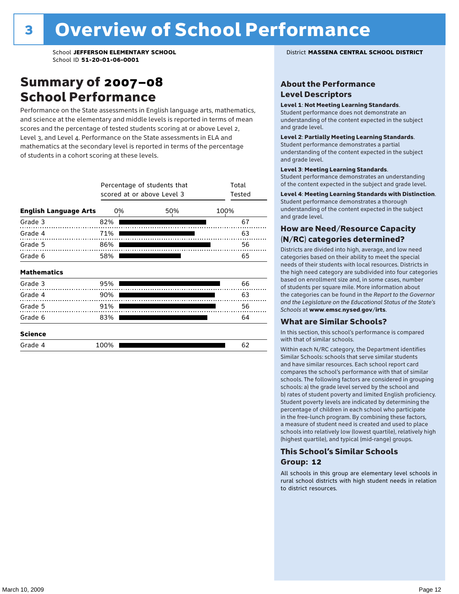### Summary of 2007–08 School Performance

Performance on the State assessments in English language arts, mathematics, and science at the elementary and middle levels is reported in terms of mean scores and the percentage of tested students scoring at or above Level 2, Level 3, and Level 4. Performance on the State assessments in ELA and mathematics at the secondary level is reported in terms of the percentage of students in a cohort scoring at these levels.

|                              |      | Percentage of students that<br>scored at or above Level 3 |      | Total<br>Tested |    |
|------------------------------|------|-----------------------------------------------------------|------|-----------------|----|
| <b>English Language Arts</b> |      | 0%                                                        | 100% |                 |    |
| Grade 3                      | 82%  |                                                           |      |                 | 67 |
| Grade 4                      | 71%  |                                                           |      |                 | 63 |
| Grade 5                      | 86%  |                                                           |      |                 | 56 |
| Grade 6                      | 58%  |                                                           |      |                 | 65 |
| <b>Mathematics</b>           |      |                                                           |      |                 |    |
| Grade 3                      | 95%  |                                                           |      |                 | 66 |
| Grade 4                      | 90%  |                                                           |      |                 | 63 |
| Grade 5                      | 91%  |                                                           |      |                 | 56 |
| Grade 6                      | 83%  |                                                           |      |                 | 64 |
| <b>Science</b>               |      |                                                           |      |                 |    |
| Grade 4                      | 100% |                                                           |      |                 | 62 |

School **JEFFERSON ELEMENTARY SCHOOL** District **MASSENA CENTRAL SCHOOL DISTRICT**

### About the Performance Level Descriptors

#### Level 1: Not Meeting Learning Standards.

Student performance does not demonstrate an understanding of the content expected in the subject and grade level.

#### Level 2: Partially Meeting Learning Standards.

Student performance demonstrates a partial understanding of the content expected in the subject and grade level.

#### Level 3: Meeting Learning Standards.

Student performance demonstrates an understanding of the content expected in the subject and grade level.

#### Level 4: Meeting Learning Standards with Distinction.

Student performance demonstrates a thorough understanding of the content expected in the subject and grade level.

### How are Need/Resource Capacity (N/RC) categories determined?

Districts are divided into high, average, and low need categories based on their ability to meet the special needs of their students with local resources. Districts in the high need category are subdivided into four categories based on enrollment size and, in some cases, number of students per square mile. More information about the categories can be found in the *Report to the Governor and the Legislature on the Educational Status of the State's Schools* at www.emsc.nysed.gov/irts.

### What are Similar Schools?

In this section, this school's performance is compared with that of similar schools.

Within each N/RC category, the Department identifies Similar Schools: schools that serve similar students and have similar resources. Each school report card compares the school's performance with that of similar schools. The following factors are considered in grouping schools: a) the grade level served by the school and b) rates of student poverty and limited English proficiency. Student poverty levels are indicated by determining the percentage of children in each school who participate in the free-lunch program. By combining these factors, a measure of student need is created and used to place schools into relatively low (lowest quartile), relatively high (highest quartile), and typical (mid-range) groups.

### This School's Similar Schools Group: **12**

All schools in this group are elementary level schools in rural school districts with high student needs in relation to district resources.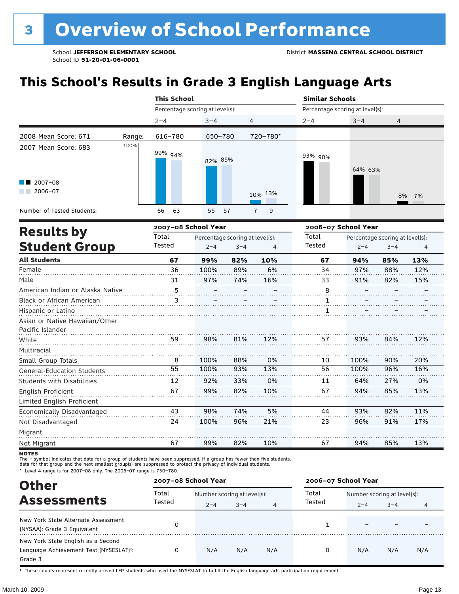# **This School's Results in Grade 3 English Language Arts**

|                                                           |        | <b>This School</b>              |         |                     | <b>Similar Schools</b><br>Percentage scoring at level(s): |         |                |  |
|-----------------------------------------------------------|--------|---------------------------------|---------|---------------------|-----------------------------------------------------------|---------|----------------|--|
|                                                           |        | Percentage scoring at level(s): |         |                     |                                                           |         |                |  |
|                                                           |        | $2 - 4$                         | $3 - 4$ | 4                   | $2 - 4$                                                   | $3 - 4$ | $\overline{4}$ |  |
| 2008 Mean Score: 671                                      | Range: | 616-780                         | 650-780 | 720-780*            |                                                           |         |                |  |
| 2007 Mean Score: 683<br>$\blacksquare$ 2007-08<br>2006-07 | 100%   | 99% <sub>94%</sub>              | 82% 85% | 10% 13%             | 93% 90%                                                   | 64% 63% | 8% 7%          |  |
| Number of Tested Students:                                |        | 63<br>66                        | 55 57   | $\overline{7}$<br>9 |                                                           |         |                |  |
|                                                           |        |                                 |         |                     |                                                           |         |                |  |

| <b>Results by</b>                 |                 | 2007-08 School Year |                                 |     | 2006-07 School Year |         |                                 |     |
|-----------------------------------|-----------------|---------------------|---------------------------------|-----|---------------------|---------|---------------------------------|-----|
|                                   | Total           |                     | Percentage scoring at level(s): |     | Total               |         | Percentage scoring at level(s): |     |
| <b>Student Group</b>              | Tested          | $2 - 4$             | $3 - 4$                         | 4   | Tested              | $2 - 4$ | $3 - 4$                         | 4   |
| <b>All Students</b>               | 67              | 99%                 | 82%                             | 10% | 67                  | 94%     | 85%                             | 13% |
| Female                            | 36              | 100%                | 89%                             | 6%  | 34                  | 97%     | 88%                             | 12% |
| Male                              | 31              | 97%                 | 74%                             | 16% | 33                  | 91%     | 82%                             | 15% |
| American Indian or Alaska Native  | 5               |                     |                                 |     | 8                   |         |                                 |     |
| Black or African American         | 3               |                     |                                 |     |                     |         |                                 |     |
| Hispanic or Latino                |                 |                     |                                 |     | 1                   |         |                                 |     |
| Asian or Native Hawaiian/Other    |                 |                     |                                 |     |                     |         |                                 |     |
| Pacific Islander                  |                 |                     |                                 |     |                     |         |                                 |     |
| White                             | 59              | 98%                 | 81%                             | 12% | 57                  | 93%     | 84%                             | 12% |
| Multiracial                       |                 |                     |                                 |     |                     |         |                                 |     |
| Small Group Totals                | 8               | 100%                | 88%                             | 0%  | 10                  | 100%    | 90%                             | 20% |
| <b>General-Education Students</b> | $\overline{55}$ | 100%                | 93%                             | 13% | 56                  | 100%    | 96%                             | 16% |
| <b>Students with Disabilities</b> | 12              | 92%                 | 33%                             | 0%  | 11                  | 64%     | 27%                             | 0%  |
| English Proficient                | 67              | 99%                 | 82%                             | 10% | 67                  | 94%     | 85%                             | 13% |
| Limited English Proficient        |                 |                     |                                 |     |                     |         |                                 |     |
| Economically Disadvantaged        | 43              | 98%                 | 74%                             | 5%  | 44                  | 93%     | 82%                             | 11% |
| Not Disadvantaged                 | 24              | 100%                | 96%                             | 21% | 23                  | 96%     | 91%                             | 17% |
| Migrant                           |                 |                     |                                 |     |                     |         |                                 |     |
| Not Migrant                       | 67              | 99%                 | 82%                             | 10% | 67                  | 94%     | 85%                             | 13% |

**NOTES** 

The – symbol indicates that data for a group of students have been suppressed. If a group has fewer than five students,<br>data for that group and the next smallest group(s) are suppressed to protect the privacy of individual

\* Level 4 range is for 2007–08 only. The 2006–07 range is 730–780.

| <b>Other</b>                                                                                         | 2007-08 School Year |                             |         |     | 2006-07 School Year |                             |         |     |
|------------------------------------------------------------------------------------------------------|---------------------|-----------------------------|---------|-----|---------------------|-----------------------------|---------|-----|
| <b>Assessments</b>                                                                                   | Total               | Number scoring at level(s): |         |     | Total<br>Tested     | Number scoring at level(s): |         |     |
|                                                                                                      | Tested              | $2 - 4$                     | $3 - 4$ | 4   |                     | $2 - 4$                     | $3 - 4$ | 4   |
| New York State Alternate Assessment<br>(NYSAA): Grade 3 Equivalent                                   |                     |                             |         |     |                     |                             |         |     |
| New York State English as a Second<br>Language Achievement Test (NYSESLAT) <sup>+</sup> :<br>Grade 3 |                     | N/A                         | N/A     | N/A | 0                   | N/A                         | N/A     | N/A |

† These counts represent recently arrived LEP students who used the NYSESLAT to fulfill the English language arts participation requirement.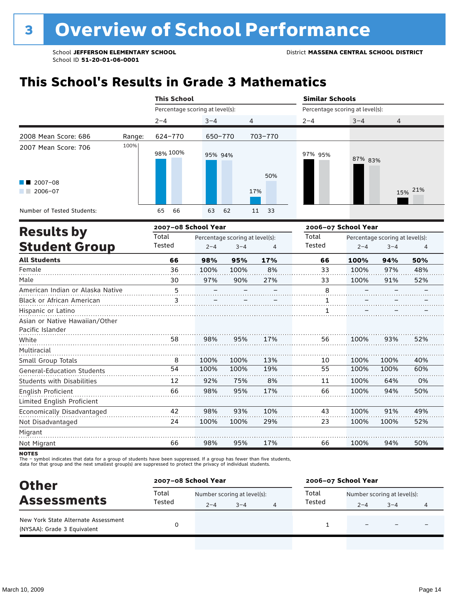# **This School's Results in Grade 3 Mathematics**

|                                                                     | <b>This School</b> |                                 |          |            |                                 |         | <b>Similar Schools</b> |  |  |  |
|---------------------------------------------------------------------|--------------------|---------------------------------|----------|------------|---------------------------------|---------|------------------------|--|--|--|
|                                                                     |                    | Percentage scoring at level(s): |          |            | Percentage scoring at level(s): |         |                        |  |  |  |
|                                                                     |                    | $2 - 4$                         | $3 - 4$  | 4          | $2 - 4$                         | $3 - 4$ | 4                      |  |  |  |
| 2008 Mean Score: 686                                                | Range:             | 624-770                         | 650-770  | 703-770    |                                 |         |                        |  |  |  |
| 2007 Mean Score: 706<br>$\blacksquare$ 2007-08<br>2006-07<br>a sa B | 100%               | 98% 100%                        | 95% 94%  | 50%<br>17% | 97% 95%                         | 87% 83% | 15% 21%                |  |  |  |
| Number of Tested Students:                                          |                    | 66<br>65                        | 63<br>62 | 33<br>11   |                                 |         |                        |  |  |  |

|                                                    |        | 2007-08 School Year |                                 |     | 2006-07 School Year |         |                                 |     |
|----------------------------------------------------|--------|---------------------|---------------------------------|-----|---------------------|---------|---------------------------------|-----|
| <b>Results by</b>                                  | Total  |                     | Percentage scoring at level(s): |     | Total               |         | Percentage scoring at level(s): |     |
| <b>Student Group</b>                               | Tested | $2 - 4$             | $3 - 4$                         | 4   | Tested              | $2 - 4$ | $3 - 4$                         | 4   |
| <b>All Students</b>                                | 66     | 98%                 | 95%                             | 17% | 66                  | 100%    | 94%                             | 50% |
| Female                                             | 36     | 100%                | 100%                            | 8%  | 33                  | 100%    | 97%                             | 48% |
| Male                                               | 30     | 97%                 | 90%                             | 27% | 33                  | 100%    | 91%                             | 52% |
| American Indian or Alaska Native                   | 5      |                     |                                 |     | 8                   |         |                                 |     |
| <b>Black or African American</b>                   | 3      |                     |                                 |     | 1                   |         |                                 |     |
| Hispanic or Latino                                 |        |                     |                                 |     | 1                   |         |                                 |     |
| Asian or Native Hawaiian/Other<br>Pacific Islander |        |                     |                                 |     |                     |         |                                 |     |
| White                                              | 58     | 98%                 | 95%                             | 17% | 56                  | 100%    | 93%                             | 52% |
| Multiracial                                        |        |                     |                                 |     |                     |         |                                 |     |
| Small Group Totals                                 | 8      | 100%                | 100%                            | 13% | 10                  | 100%    | 100%                            | 40% |
| <b>General-Education Students</b>                  | 54     | 100%                | 100%                            | 19% | 55                  | 100%    | 100%                            | 60% |
| <b>Students with Disabilities</b>                  | 12     | 92%                 | 75%                             | 8%  | 11                  | 100%    | 64%                             | 0%  |
| English Proficient                                 | 66     | 98%                 | 95%                             | 17% | 66                  | 100%    | 94%                             | 50% |
| Limited English Proficient                         |        |                     |                                 |     |                     |         |                                 |     |
| Economically Disadvantaged                         | 42     | 98%                 | 93%                             | 10% | 43                  | 100%    | 91%                             | 49% |
| Not Disadvantaged                                  | 24     | 100%                | 100%                            | 29% | 23                  | 100%    | 100%                            | 52% |
| Migrant                                            |        |                     |                                 |     |                     |         |                                 |     |
| Not Migrant                                        | 66     | 98%                 | 95%                             | 17% | 66                  | 100%    | 94%                             | 50% |
|                                                    |        |                     |                                 |     |                     |         |                                 |     |

NOTES<br>The – symbol indicates that data for a group of students have been suppressed. If a group has fewer than five students,<br>data for that group and the next smallest group(s) are suppressed to protect the privacy of indi

| <b>Other</b>                                                       | 2007-08 School Year |                             |         |  | 2006-07 School Year |                             |                          |   |  |
|--------------------------------------------------------------------|---------------------|-----------------------------|---------|--|---------------------|-----------------------------|--------------------------|---|--|
| <b>Assessments</b>                                                 | Total<br>Tested     | Number scoring at level(s): |         |  | Total<br>Tested     | Number scoring at level(s): |                          |   |  |
|                                                                    |                     | $2 - 4$                     | $3 - 4$ |  |                     | $2 - 4$                     | $3 - 4$                  | 4 |  |
| New York State Alternate Assessment<br>(NYSAA): Grade 3 Equivalent |                     |                             |         |  |                     |                             | $\overline{\phantom{0}}$ |   |  |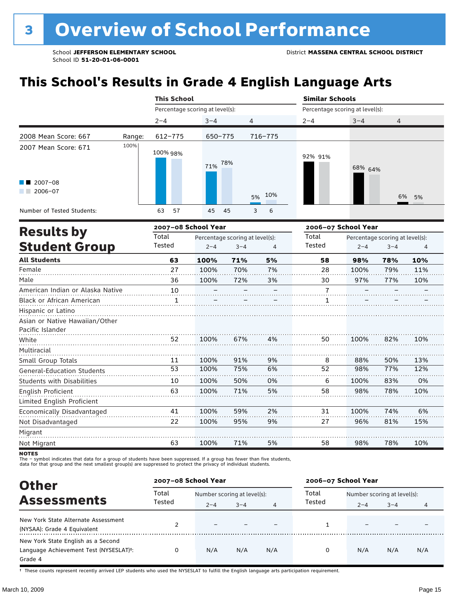# **This School's Results in Grade 4 English Language Arts**

|                                                                             |        | <b>This School</b>              |            |         | <b>Similar Schools</b><br>Percentage scoring at level(s): |         |       |  |
|-----------------------------------------------------------------------------|--------|---------------------------------|------------|---------|-----------------------------------------------------------|---------|-------|--|
|                                                                             |        | Percentage scoring at level(s): |            |         |                                                           |         |       |  |
|                                                                             |        | $2 - 4$                         | $3 - 4$    | 4       | $2 - 4$                                                   | $3 - 4$ | 4     |  |
| 2008 Mean Score: 667                                                        | Range: | 612-775                         | 650-775    | 716-775 |                                                           |         |       |  |
| 2007 Mean Score: 671<br>$\blacksquare$ 2007-08<br>2006-07<br><b>College</b> | 100%   | 100% 98%                        | 78%<br>71% | 5% 10%  | 92% 91%                                                   | 68% 64% | 6% 5% |  |
| Number of Tested Students:                                                  |        | 57<br>63                        | 45<br>- 45 | 6<br>3  |                                                           |         |       |  |

|                                   |        | 2007-08 School Year |                                 |    | 2006-07 School Year |         |                                 |     |
|-----------------------------------|--------|---------------------|---------------------------------|----|---------------------|---------|---------------------------------|-----|
| <b>Results by</b>                 | Total  |                     | Percentage scoring at level(s): |    | Total               |         | Percentage scoring at level(s): |     |
| <b>Student Group</b>              | Tested | $2 - 4$             | $3 - 4$                         | 4  | <b>Tested</b>       | $2 - 4$ | $3 - 4$                         | 4   |
| <b>All Students</b>               | 63     | 100%                | 71%                             | 5% | 58                  | 98%     | 78%                             | 10% |
| Female                            | 27     | 100%                | 70%                             | 7% | 28                  | 100%    | 79%                             | 11% |
| Male                              | 36     | 100%                | 72%                             | 3% | 30                  | 97%     | 77%                             | 10% |
| American Indian or Alaska Native  | 10     |                     |                                 |    | $\overline{7}$      |         |                                 |     |
| <b>Black or African American</b>  | 1      |                     |                                 |    | 1                   |         |                                 |     |
| Hispanic or Latino                |        |                     |                                 |    |                     |         |                                 |     |
| Asian or Native Hawaiian/Other    |        |                     |                                 |    |                     |         |                                 |     |
| Pacific Islander                  |        |                     |                                 |    |                     |         |                                 |     |
| White                             | 52     | 100%                | 67%                             | 4% | 50                  | 100%    | 82%                             | 10% |
| Multiracial                       |        |                     |                                 |    |                     |         |                                 |     |
| Small Group Totals                | 11     | 100%                | 91%                             | 9% | 8                   | 88%     | 50%                             | 13% |
| <b>General-Education Students</b> | 53     | 100%                | 75%                             | 6% | 52                  | 98%     | 77%                             | 12% |
| <b>Students with Disabilities</b> | 10     | 100%                | 50%                             | 0% | 6                   | 100%    | 83%                             | 0%  |
| English Proficient                | 63     | 100%                | 71%                             | 5% | 58                  | 98%     | 78%                             | 10% |
| Limited English Proficient        |        |                     |                                 |    |                     |         |                                 |     |
| Economically Disadvantaged        | 41     | 100%                | 59%                             | 2% | 31                  | 100%    | 74%                             | 6%  |
| Not Disadvantaged                 | 22     | 100%                | 95%                             | 9% | 27                  | 96%     | 81%                             | 15% |
| Migrant                           |        |                     |                                 |    |                     |         |                                 |     |
| Not Migrant                       | 63     | 100%                | 71%                             | 5% | 58                  | 98%     | 78%                             | 10% |
|                                   |        |                     |                                 |    |                     |         |                                 |     |

NOTES<br>The – symbol indicates that data for a group of students have been suppressed. If a group has fewer than five students,<br>data for that group and the next smallest group(s) are suppressed to protect the privacy of indi

| <b>Other</b>                                                                                         | 2007-08 School Year |                                        |         |     | 2006-07 School Year |                                        |         |     |
|------------------------------------------------------------------------------------------------------|---------------------|----------------------------------------|---------|-----|---------------------|----------------------------------------|---------|-----|
| <b>Assessments</b>                                                                                   | Total<br>Tested     | Number scoring at level(s):<br>$2 - 4$ | $3 - 4$ | 4   | Total<br>Tested     | Number scoring at level(s):<br>$2 - 4$ | $3 - 4$ | 4   |
| New York State Alternate Assessment<br>(NYSAA): Grade 4 Equivalent                                   |                     |                                        |         |     |                     |                                        |         |     |
| New York State English as a Second<br>Language Achievement Test (NYSESLAT) <sup>+</sup> :<br>Grade 4 |                     | N/A                                    | N/A     | N/A | 0                   | N/A                                    | N/A     | N/A |

† These counts represent recently arrived LEP students who used the NYSESLAT to fulfill the English language arts participation requirement.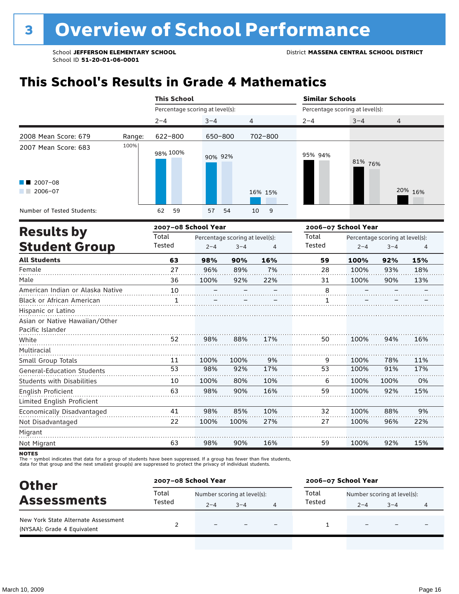# **This School's Results in Grade 4 Mathematics**

|                                                           |        | <b>This School</b>              |          |                | <b>Similar Schools</b>          |         |         |  |  |
|-----------------------------------------------------------|--------|---------------------------------|----------|----------------|---------------------------------|---------|---------|--|--|
|                                                           |        | Percentage scoring at level(s): |          |                | Percentage scoring at level(s): |         |         |  |  |
|                                                           |        | $2 - 4$                         | $3 - 4$  | $\overline{4}$ | $2 - 4$                         | $3 - 4$ | 4       |  |  |
| 2008 Mean Score: 679                                      | Range: | 622-800                         | 650-800  | 702-800        |                                 |         |         |  |  |
| 2007 Mean Score: 683<br>$\blacksquare$ 2007-08<br>2006-07 | 100%   | 98% 100%                        | 90% 92%  | 16% 15%        | 95% 94%                         | 81% 76% | 20% 16% |  |  |
| Number of Tested Students:                                |        | 62<br>59                        | 57<br>54 | 10 9           |                                 |         |         |  |  |
|                                                           |        | <b>ACCEPT AD CALABLE VASH</b>   |          |                | song on Cehael Vasu             |         |         |  |  |

|                                   |        | 2007-08 School Year |                                 |     | 2006-07 School Year |         |                                 |     |
|-----------------------------------|--------|---------------------|---------------------------------|-----|---------------------|---------|---------------------------------|-----|
| <b>Results by</b>                 | Total  |                     | Percentage scoring at level(s): |     | Total               |         | Percentage scoring at level(s): |     |
| <b>Student Group</b>              | Tested | $2 - 4$             | $3 - 4$                         | 4   | <b>Tested</b>       | $2 - 4$ | $3 - 4$                         | 4   |
| <b>All Students</b>               | 63     | 98%                 | 90%                             | 16% | 59                  | 100%    | 92%                             | 15% |
| Female                            | 27     | 96%                 | 89%                             | 7%  | 28                  | 100%    | 93%                             | 18% |
| Male                              | 36     | 100%                | 92%                             | 22% | 31                  | 100%    | 90%                             | 13% |
| American Indian or Alaska Native  | 10     |                     |                                 |     | 8                   |         |                                 |     |
| <b>Black or African American</b>  | 1      |                     |                                 |     |                     |         |                                 |     |
| Hispanic or Latino                |        |                     |                                 |     |                     |         |                                 |     |
| Asian or Native Hawaiian/Other    |        |                     |                                 |     |                     |         |                                 |     |
| Pacific Islander                  |        |                     |                                 |     |                     |         |                                 |     |
| White                             | 52     | 98%                 | 88%                             | 17% | 50                  | 100%    | 94%                             | 16% |
| Multiracial                       |        |                     |                                 |     |                     |         |                                 |     |
| Small Group Totals                | 11     | 100%                | 100%                            | 9%  | 9                   | 100%    | 78%                             | 11% |
| <b>General-Education Students</b> | 53     | 98%                 | 92%                             | 17% | 53                  | 100%    | 91%                             | 17% |
| <b>Students with Disabilities</b> | 10     | 100%                | 80%                             | 10% | 6                   | 100%    | 100%                            | 0%  |
| <b>English Proficient</b>         | 63     | 98%                 | 90%                             | 16% | 59                  | 100%    | 92%                             | 15% |
| Limited English Proficient        |        |                     |                                 |     |                     |         |                                 |     |
| Economically Disadvantaged        | 41     | 98%                 | 85%                             | 10% | 32                  | 100%    | 88%                             | 9%  |
| Not Disadvantaged                 | 22     | 100%                | 100%                            | 27% | 27                  | 100%    | 96%                             | 22% |
| Migrant                           |        |                     |                                 |     |                     |         |                                 |     |
| Not Migrant                       | 63     | 98%                 | 90%                             | 16% | 59                  | 100%    | 92%                             | 15% |
|                                   |        |                     |                                 |     |                     |         |                                 |     |

NOTES<br>The – symbol indicates that data for a group of students have been suppressed. If a group has fewer than five students,<br>data for that group and the next smallest group(s) are suppressed to protect the privacy of indi

| <b>Other</b>                                                       | 2007-08 School Year |                             |         |                          | 2006-07 School Year |                             |         |  |
|--------------------------------------------------------------------|---------------------|-----------------------------|---------|--------------------------|---------------------|-----------------------------|---------|--|
| <b>Assessments</b>                                                 | Total               | Number scoring at level(s): |         |                          | Total               | Number scoring at level(s): |         |  |
|                                                                    | Tested              | $2 - 4$                     | $3 - 4$ |                          | Tested              | $2 - 4$                     | $3 - 4$ |  |
| New York State Alternate Assessment<br>(NYSAA): Grade 4 Equivalent |                     |                             |         | $\overline{\phantom{0}}$ |                     |                             |         |  |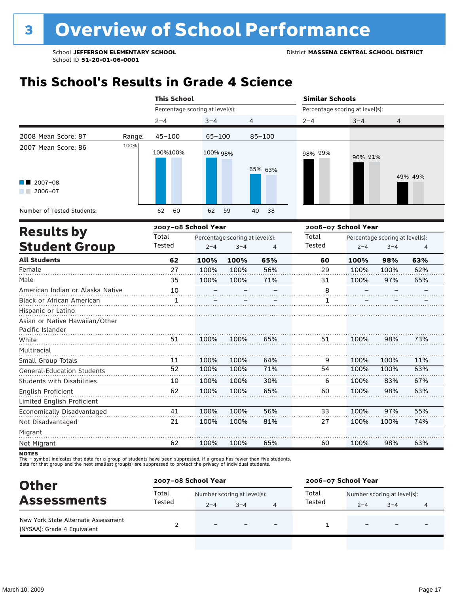## **This School's Results in Grade 4 Science**

|                                                                                                                                                                                                                                                                                                  |        | <b>This School</b>  |                                 |            |         | <b>Similar Schools</b>          |         |  |  |  |
|--------------------------------------------------------------------------------------------------------------------------------------------------------------------------------------------------------------------------------------------------------------------------------------------------|--------|---------------------|---------------------------------|------------|---------|---------------------------------|---------|--|--|--|
|                                                                                                                                                                                                                                                                                                  |        |                     | Percentage scoring at level(s): |            |         | Percentage scoring at level(s): |         |  |  |  |
|                                                                                                                                                                                                                                                                                                  |        | $2 - 4$             | $3 - 4$                         | 4          | $2 - 4$ | $3 - 4$                         | 4       |  |  |  |
| 2008 Mean Score: 87                                                                                                                                                                                                                                                                              | Range: | $45 - 100$          | $65 - 100$                      | $85 - 100$ |         |                                 |         |  |  |  |
| 2007 Mean Score: 86<br>$\blacksquare$ 2007-08<br>2006-07<br><b>The Contract of the Contract of the Contract of the Contract of the Contract of the Contract of the Contract of the Contract of the Contract of the Contract of the Contract of the Contract of the Contract of The Contract </b> | 100%   | 100%100%            | 100% 98%                        | 65% 63%    | 98% 99% | 90% 91%                         | 49% 49% |  |  |  |
| Number of Tested Students:                                                                                                                                                                                                                                                                       |        | 62<br>60            | 62<br>59                        | 40<br>- 38 |         |                                 |         |  |  |  |
| <b>Results by</b>                                                                                                                                                                                                                                                                                |        | 2007-08 School Year |                                 |            |         | 2006-07 School Year             |         |  |  |  |
|                                                                                                                                                                                                                                                                                                  |        | Total               | Percentage scoring at level(s): |            | Total   | Percentage scoring at level(s): |         |  |  |  |

| .                                                  | Total  |         | Percentage scoring at level(s): |     | Total         | Percentage scoring at level(s): |         |     |
|----------------------------------------------------|--------|---------|---------------------------------|-----|---------------|---------------------------------|---------|-----|
| <b>Student Group</b>                               | Tested | $2 - 4$ | $3 - 4$                         | 4   | <b>Tested</b> | $2 - 4$                         | $3 - 4$ | 4   |
| <b>All Students</b>                                | 62     | 100%    | 100%                            | 65% | 60            | 100%                            | 98%     | 63% |
| Female                                             | 27     | 100%    | 100%                            | 56% | 29            | 100%                            | 100%    | 62% |
| Male                                               | 35     | 100%    | 100%                            | 71% | 31            | 100%                            | 97%     | 65% |
| American Indian or Alaska Native                   | 10     |         |                                 |     | 8             |                                 |         |     |
| Black or African American                          | 1      |         |                                 |     | 1             |                                 |         |     |
| Hispanic or Latino                                 |        |         |                                 |     |               |                                 |         |     |
| Asian or Native Hawaiian/Other<br>Pacific Islander |        |         |                                 |     |               |                                 |         |     |
| White                                              | 51     | 100%    | 100%                            | 65% | 51            | 100%                            | 98%     | 73% |
| Multiracial                                        |        |         |                                 |     |               |                                 |         |     |
| Small Group Totals                                 | 11     | 100%    | 100%                            | 64% | 9             | 100%                            | 100%    | 11% |
| <b>General-Education Students</b>                  | 52     | 100%    | 100%                            | 71% | 54            | 100%                            | 100%    | 63% |
| <b>Students with Disabilities</b>                  | 10     | 100%    | 100%                            | 30% | 6             | 100%                            | 83%     | 67% |
| English Proficient                                 | 62     | 100%    | 100%                            | 65% | 60            | 100%                            | 98%     | 63% |
| Limited English Proficient                         |        |         |                                 |     |               |                                 |         |     |
| Economically Disadvantaged                         | 41     | 100%    | 100%                            | 56% | 33            | 100%                            | 97%     | 55% |
| Not Disadvantaged                                  | 21     | 100%    | 100%                            | 81% | 27            | 100%                            | 100%    | 74% |
| Migrant                                            |        |         |                                 |     |               |                                 |         |     |
| Not Migrant                                        | 62     | 100%    | 100%                            | 65% | 60            | 100%                            | 98%     | 63% |
|                                                    |        |         |                                 |     |               |                                 |         |     |

NOTES<br>The – symbol indicates that data for a group of students have been suppressed. If a group has fewer than five students,<br>data for that group and the next smallest group(s) are suppressed to protect the privacy of indi

| <b>Other</b>                                                       | 2007-08 School Year |                             |         |                          | 2006-07 School Year |                             |                          |   |
|--------------------------------------------------------------------|---------------------|-----------------------------|---------|--------------------------|---------------------|-----------------------------|--------------------------|---|
|                                                                    | Total               | Number scoring at level(s): |         |                          | Total               | Number scoring at level(s): |                          |   |
| <b>Assessments</b>                                                 | Tested              | $2 - 4$                     | $3 - 4$ |                          | Tested              | $2 - 4$                     | $3 - 4$                  | 4 |
| New York State Alternate Assessment<br>(NYSAA): Grade 4 Equivalent |                     | $\overline{\phantom{0}}$    |         | $\overline{\phantom{0}}$ |                     | -                           | $\overline{\phantom{0}}$ |   |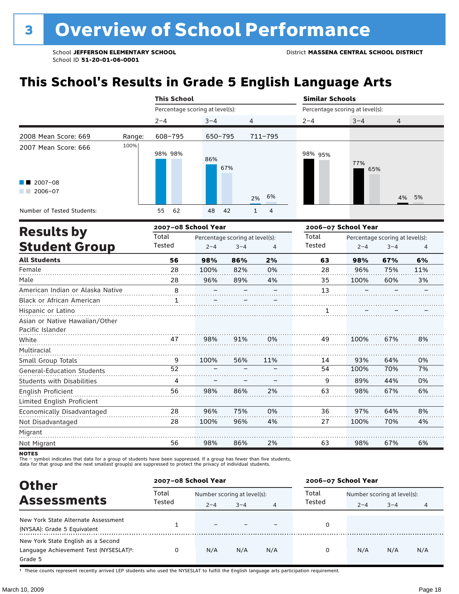# **This School's Results in Grade 5 English Language Arts**

|                                                                   |        | <b>This School</b>              |                                 |                                | <b>Similar Schools</b> |                                 |       |  |  |
|-------------------------------------------------------------------|--------|---------------------------------|---------------------------------|--------------------------------|------------------------|---------------------------------|-------|--|--|
|                                                                   |        | Percentage scoring at level(s): |                                 |                                |                        | Percentage scoring at level(s): |       |  |  |
|                                                                   |        | $2 - 4$                         | $3 - 4$                         | 4                              | $2 - 4$                | $3 - 4$                         | 4     |  |  |
| 2008 Mean Score: 669                                              | Range: | 608-795                         | $650 - 795$                     | 711-795                        |                        |                                 |       |  |  |
| 2007 Mean Score: 666<br>$\blacksquare$ 2007-08<br>2006-07<br>a ka | 100%   | 98% 98%                         | 86%<br>67%                      | 6%<br>2%                       | 98% 95%                | 77%<br>65%                      | 4% 5% |  |  |
| Number of Tested Students:                                        |        | 55<br>62                        | 48<br>42                        | $\overline{4}$<br>$\mathbf{1}$ |                        |                                 |       |  |  |
| <b>Results by</b>                                                 |        | 2007-08 School Year             |                                 |                                |                        | 2006-07 School Year             |       |  |  |
|                                                                   |        | Total                           | Percentage scoring at level(s): |                                | Total                  | Percentage scoring at level(s): |       |  |  |

| IICANILA NJ                                        | Total  |         | Percentage scoring at level(s): |     | Total         | Percentage scoring at level(s): |         |     |
|----------------------------------------------------|--------|---------|---------------------------------|-----|---------------|---------------------------------|---------|-----|
| <b>Student Group</b>                               | Tested | $2 - 4$ | $3 - 4$                         | 4   | <b>Tested</b> | $2 - 4$                         | $3 - 4$ | 4   |
| <b>All Students</b>                                | 56     | 98%     | 86%                             | 2%  | 63            | 98%                             | 67%     | 6%  |
| Female                                             | 28     | 100%    | 82%                             | 0%  | 28            | 96%                             | 75%     | 11% |
| Male                                               | 28     | 96%     | 89%                             | 4%  | 35            | 100%                            | 60%     | 3%  |
| American Indian or Alaska Native                   | 8      |         |                                 |     | 13            |                                 |         |     |
| Black or African American                          |        |         |                                 |     |               |                                 |         |     |
| Hispanic or Latino                                 |        |         |                                 |     |               |                                 |         |     |
| Asian or Native Hawaiian/Other<br>Pacific Islander |        |         |                                 |     |               |                                 |         |     |
| White                                              | 47     | 98%     | 91%                             | 0%  | 49            | 100%                            | 67%     | 8%  |
| Multiracial                                        |        |         |                                 |     |               |                                 |         |     |
| Small Group Totals                                 | 9      | 100%    | 56%                             | 11% | 14            | 93%                             | 64%     | 0%  |
| <b>General-Education Students</b>                  | 52     |         |                                 |     | 54            | 100%                            | 70%     | 7%  |
| <b>Students with Disabilities</b>                  | 4      |         |                                 |     | 9             | 89%                             | 44%     | 0%  |
| <b>English Proficient</b>                          | 56     | 98%     | 86%                             | 2%  | 63            | 98%                             | 67%     | 6%  |
| Limited English Proficient                         |        |         |                                 |     |               |                                 |         |     |
| Economically Disadvantaged                         | 28     | 96%     | 75%                             | 0%  | 36            | 97%                             | 64%     | 8%  |
| Not Disadvantaged                                  | 28     | 100%    | 96%                             | 4%  | 27            | 100%                            | 70%     | 4%  |
| Migrant                                            |        |         |                                 |     |               |                                 |         |     |
| Not Migrant                                        | 56     | 98%     | 86%                             | 2%  | 63            | 98%                             | 67%     | 6%  |
|                                                    |        |         |                                 |     |               |                                 |         |     |

NOTES<br>The – symbol indicates that data for a group of students have been suppressed. If a group has fewer than five students,<br>data for that group and the next smallest group(s) are suppressed to protect the privacy of indi

| <b>Other</b>                                                                            |                 | 2007-08 School Year                    |         |     | 2006-07 School Year |                                        |         |     |
|-----------------------------------------------------------------------------------------|-----------------|----------------------------------------|---------|-----|---------------------|----------------------------------------|---------|-----|
| <b>Assessments</b>                                                                      | Total<br>Tested | Number scoring at level(s):<br>$2 - 4$ | $3 - 4$ | 4   | Total<br>Tested     | Number scoring at level(s):<br>$2 - 4$ | $3 - 4$ |     |
| New York State Alternate Assessment<br>(NYSAA): Grade 5 Equivalent                      |                 |                                        |         |     |                     |                                        |         |     |
| New York State English as a Second<br>Language Achievement Test (NYSESLAT)t:<br>Grade 5 |                 | N/A                                    | N/A     | N/A | 0                   | N/A                                    | N/A     | N/A |

† These counts represent recently arrived LEP students who used the NYSESLAT to fulfill the English language arts participation requirement.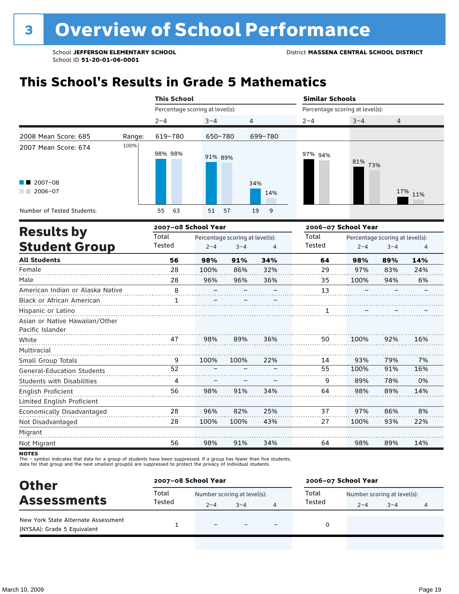# **This School's Results in Grade 5 Mathematics**

|                                   |        | <b>This School</b>              |          |            | <b>Similar Schools</b><br>Percentage scoring at level(s): |            |         |  |
|-----------------------------------|--------|---------------------------------|----------|------------|-----------------------------------------------------------|------------|---------|--|
|                                   |        | Percentage scoring at level(s): |          |            |                                                           |            |         |  |
|                                   |        | $2 - 4$                         | $3 - 4$  | 4          | $2 - 4$                                                   | $3 - 4$    | 4       |  |
| 2008 Mean Score: 685              | Range: | 619-780                         | 650-780  | 699-780    |                                                           |            |         |  |
| 2007 Mean Score: 674              | 100%   | 98% 98%                         | 91% 89%  |            | 97% 94%                                                   | 81%<br>73% |         |  |
| $\blacksquare$ 2007-08<br>2006-07 |        |                                 |          | 34%<br>14% |                                                           |            | 17% 11% |  |
| Number of Tested Students:        |        | 63<br>55                        | 51<br>57 | 19<br>9    |                                                           |            |         |  |

|                                   |        | 2007-08 School Year             |         |     | 2006-07 School Year |         |                                 |     |
|-----------------------------------|--------|---------------------------------|---------|-----|---------------------|---------|---------------------------------|-----|
| <b>Results by</b>                 | Total  | Percentage scoring at level(s): |         |     | Total               |         | Percentage scoring at level(s): |     |
| <b>Student Group</b>              | Tested | $2 - 4$                         | $3 - 4$ | 4   | Tested              | $2 - 4$ | $3 - 4$                         | 4   |
| <b>All Students</b>               | 56     | 98%                             | 91%     | 34% | 64                  | 98%     | 89%                             | 14% |
| Female                            | 28     | 100%                            | 86%     | 32% | 29                  | 97%     | 83%                             | 24% |
| Male                              | 28     | 96%                             | 96%     | 36% | 35                  | 100%    | 94%                             | 6%  |
| American Indian or Alaska Native  | 8      |                                 |         |     | 13                  |         |                                 |     |
| Black or African American         | 1      |                                 |         |     |                     |         |                                 |     |
| Hispanic or Latino                |        |                                 |         |     | 1                   |         |                                 |     |
| Asian or Native Hawaiian/Other    |        |                                 |         |     |                     |         |                                 |     |
| Pacific Islander                  |        |                                 |         |     |                     |         |                                 |     |
| White                             | 47     | 98%                             | 89%     | 36% | 50                  | 100%    | 92%                             | 16% |
| Multiracial                       |        |                                 |         |     |                     |         |                                 |     |
| Small Group Totals                | 9      | 100%                            | 100%    | 22% | 14                  | 93%     | 79%                             | 7%  |
| <b>General-Education Students</b> | 52     |                                 |         |     | 55                  | 100%    | 91%                             | 16% |
| <b>Students with Disabilities</b> | 4      |                                 |         |     | 9                   | 89%     | 78%                             | 0%  |
| English Proficient                | 56     | 98%                             | 91%     | 34% | 64                  | 98%     | 89%                             | 14% |
| Limited English Proficient        |        |                                 |         |     |                     |         |                                 |     |
| Economically Disadvantaged        | 28     | 96%                             | 82%     | 25% | 37                  | 97%     | 86%                             | 8%  |
| Not Disadvantaged                 | 28     | 100%                            | 100%    | 43% | 27                  | 100%    | 93%                             | 22% |
| Migrant                           |        |                                 |         |     |                     |         |                                 |     |
| Not Migrant                       | 56     | 98%                             | 91%     | 34% | 64                  | 98%     | 89%                             | 14% |

**NOTES** 

The – symbol indicates that data for a group of students have been suppressed. If a group has fewer than five students,<br>data for that group and the next smallest group(s) are suppressed to protect the privacy of individual

| <b>Other</b>                                                       | 2007-08 School Year |                             |         |   | 2006-07 School Year |                             |         |   |  |
|--------------------------------------------------------------------|---------------------|-----------------------------|---------|---|---------------------|-----------------------------|---------|---|--|
| <b>Assessments</b>                                                 | Total<br>Tested     | Number scoring at level(s): |         |   | Total               | Number scoring at level(s): |         |   |  |
|                                                                    |                     | $2 - 4$                     | $3 - 4$ | 4 | Tested              | $2 - 4$                     | $3 - 4$ | 4 |  |
| New York State Alternate Assessment<br>(NYSAA): Grade 5 Equivalent |                     |                             |         |   |                     |                             |         |   |  |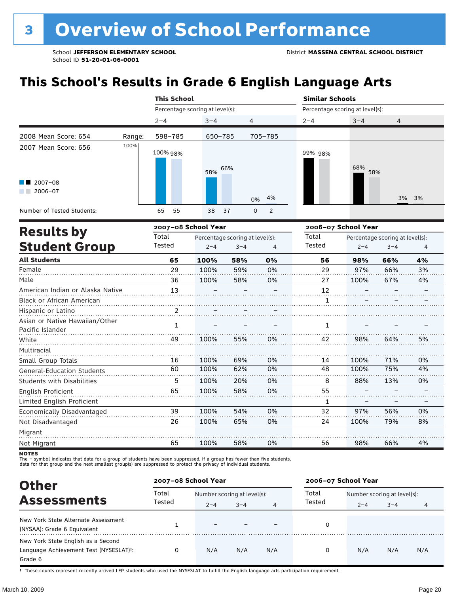# **This School's Results in Grade 6 English Language Arts**

|                                                           |        | <b>This School</b>              |            |                               | <b>Similar Schools</b>          |            |       |  |  |
|-----------------------------------------------------------|--------|---------------------------------|------------|-------------------------------|---------------------------------|------------|-------|--|--|
|                                                           |        | Percentage scoring at level(s): |            |                               | Percentage scoring at level(s): |            |       |  |  |
|                                                           |        | $2 - 4$                         | $3 - 4$    | $\overline{4}$                | $2 - 4$                         | $3 - 4$    | 4     |  |  |
| 2008 Mean Score: 654                                      | Range: | 598-785                         | 650-785    | 705-785                       |                                 |            |       |  |  |
| 2007 Mean Score: 656<br>$\blacksquare$ 2007-08<br>2006-07 | 100%   | 100% 98%                        | 66%<br>58% | 4%<br>0%                      | 99% 98%                         | 68%<br>58% | 3% 3% |  |  |
| Number of Tested Students:                                |        | 55<br>65                        | 38<br>37   | $\overline{2}$<br>$\mathbf 0$ |                                 |            |       |  |  |
| 2007-08 School Year<br>Deedle ku                          |        |                                 |            |                               | 2006-07 School Year             |            |       |  |  |

|                |         |         |                     | 2006–07 School Year             |                                 |         |    |  |
|----------------|---------|---------|---------------------|---------------------------------|---------------------------------|---------|----|--|
| Total          |         |         |                     | Total                           | Percentage scoring at level(s): |         |    |  |
| Tested         | $2 - 4$ | $3 - 4$ | 4                   | <b>Tested</b>                   | $2 - 4$                         | $3 - 4$ | 4  |  |
| 65             | 100%    | 58%     | 0%                  | 56                              | 98%                             | 66%     | 4% |  |
| 29             | 100%    | 59%     | 0%                  | 29                              | 97%                             | 66%     | 3% |  |
| 36             | 100%    | 58%     | 0%                  | 27                              | 100%                            | 67%     | 4% |  |
| 13             |         |         |                     | 12                              |                                 |         |    |  |
|                |         |         |                     |                                 |                                 |         |    |  |
| $\overline{2}$ |         |         |                     |                                 |                                 |         |    |  |
|                |         |         |                     |                                 |                                 |         |    |  |
|                |         |         |                     |                                 |                                 |         |    |  |
| 49             | 100%    | 55%     | 0%                  | 42                              | 98%                             | 64%     | 5% |  |
|                |         |         |                     |                                 |                                 |         |    |  |
| 16             | 100%    | 69%     | 0%                  | 14                              | 100%                            | 71%     | 0% |  |
| 60             | 100%    | 62%     | 0%                  | 48                              | 100%                            | 75%     | 4% |  |
| 5              | 100%    | 20%     | 0%                  | 8                               | 88%                             | 13%     | 0% |  |
| 65             | 100%    | 58%     | 0%                  | 55                              |                                 |         |    |  |
|                |         |         |                     | 1                               |                                 |         |    |  |
| 39             | 100%    | 54%     | 0%                  | 32                              | 97%                             | 56%     | 0% |  |
| 26             | 100%    | 65%     | 0%                  | 24                              | 100%                            | 79%     | 8% |  |
|                |         |         |                     |                                 |                                 |         |    |  |
| 65             | 100%    | 58%     | 0%                  | 56                              | 98%                             | 66%     | 4% |  |
|                | 1       |         | 2007–08 School Year | Percentage scoring at level(s): | 1                               |         |    |  |

**NOTES** 

The – symbol indicates that data for a group of students have been suppressed. If a group has fewer than five students,<br>data for that group and the next smallest group(s) are suppressed to protect the privacy of individual

| <b>Other</b>                                                                                         | 2007-08 School Year |                                        |         |     | 2006-07 School Year |                                        |         |     |  |
|------------------------------------------------------------------------------------------------------|---------------------|----------------------------------------|---------|-----|---------------------|----------------------------------------|---------|-----|--|
| <b>Assessments</b>                                                                                   | Total<br>Tested     | Number scoring at level(s):<br>$2 - 4$ | $3 - 4$ | 4   | Total<br>Tested     | Number scoring at level(s):<br>$2 - 4$ | $3 - 4$ | 4   |  |
| New York State Alternate Assessment<br>(NYSAA): Grade 6 Equivalent                                   |                     |                                        |         |     | 0                   |                                        |         |     |  |
| New York State English as a Second<br>Language Achievement Test (NYSESLAT) <sup>+</sup> :<br>Grade 6 |                     | N/A                                    | N/A     | N/A | 0                   | N/A                                    | N/A     | N/A |  |

† These counts represent recently arrived LEP students who used the NYSESLAT to fulfill the English language arts participation requirement.